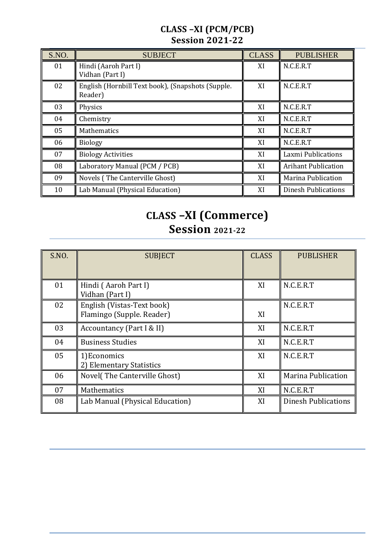## **CLASS –XI (PCM/PCB) Session 2021-22**

| S.NO. | <b>SUBJECT</b>                                               | <b>CLASS</b> | <b>PUBLISHER</b>           |
|-------|--------------------------------------------------------------|--------------|----------------------------|
| 01    | Hindi (Aaroh Part I)<br>Vidhan (Part I)                      | XI           | N.C.E.R.T                  |
| 02    | English (Hornbill Text book), (Snapshots (Supple.<br>Reader) | XI           | N.C.E.R.T                  |
| 03    | Physics                                                      | XI           | N.C.E.R.T                  |
| 04    | Chemistry                                                    | XI           | N.C.E.R.T                  |
| 05    | <b>Mathematics</b>                                           | XI           | N.C.E.R.T                  |
| 06    | <b>Biology</b>                                               | XI           | N.C.E.R.T                  |
| 07    | <b>Biology Activities</b>                                    | XI           | Laxmi Publications         |
| 08    | Laboratory Manual (PCM / PCB)                                | XI           | <b>Arihant Publication</b> |
| 09    | Novels (The Canterville Ghost)                               | XI           | <b>Marina Publication</b>  |
| 10    | Lab Manual (Physical Education)                              | XI           | <b>Dinesh Publications</b> |

## **CLASS –XI (Commerce) Session 2021-22**

| S.NO. | <b>SUBJECT</b>                                          | <b>CLASS</b> | <b>PUBLISHER</b>           |
|-------|---------------------------------------------------------|--------------|----------------------------|
| 01    | Hindi (Aaroh Part I)<br>Vidhan (Part I)                 | XI           | N.C.E.R.T                  |
| 02    | English (Vistas-Text book)<br>Flamingo (Supple. Reader) | XI           | N.C.E.R.T                  |
| 03    | Accountancy (Part I & II)                               | XI           | N.C.E.R.T                  |
| 04    | <b>Business Studies</b>                                 | XI           | N.C.E.R.T                  |
| 05    | 1) Economics<br>2) Elementary Statistics                | XI           | N.C.E.R.T                  |
| 06    | Novel (The Canterville Ghost)                           | XI           | <b>Marina Publication</b>  |
| 07    | Mathematics                                             | XI           | N.C.E.R.T                  |
| 08    | Lab Manual (Physical Education)                         | XI           | <b>Dinesh Publications</b> |